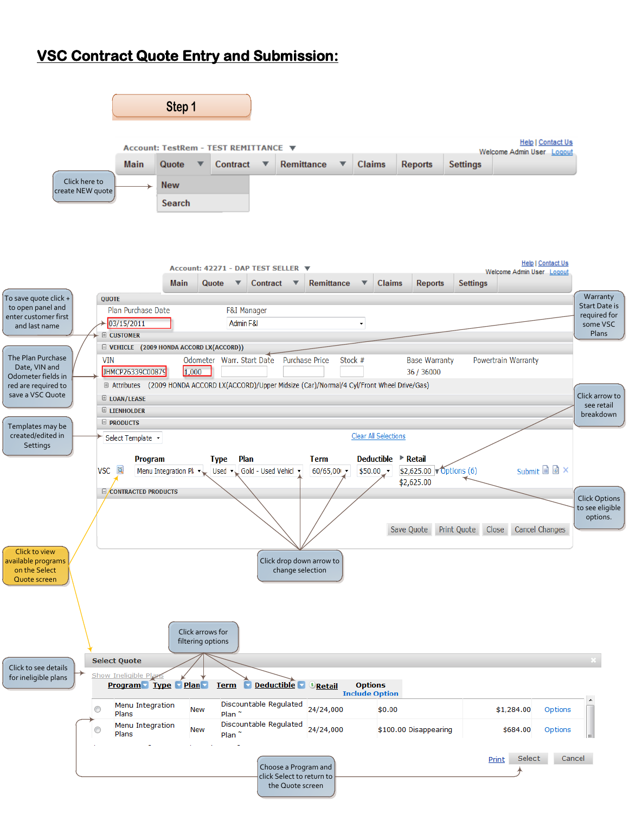### **VSC Contract Quote Entry and Submission:**

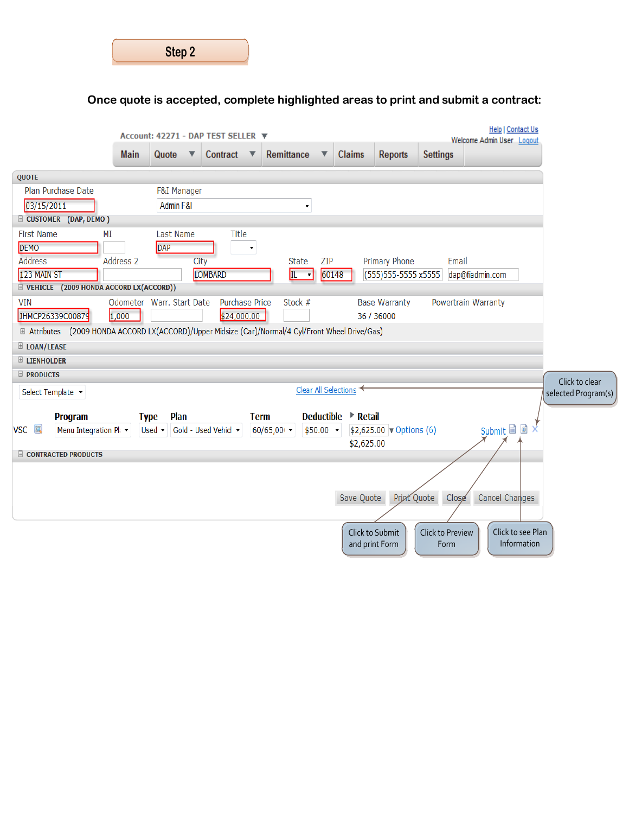| Step 2 |  |
|--------|--|
|        |  |

## **Once quote is accepted, complete highlighted areas to print and submit a contract:**

|                     |                                                                                                           |                           |              |                        | Account: 42271 - DAP TEST SELLER ▼ |             |                             |       |                      |                                  |                          |                 | <b>Help   Contact Us</b><br>Welcome Admin User Logout |                     |
|---------------------|-----------------------------------------------------------------------------------------------------------|---------------------------|--------------|------------------------|------------------------------------|-------------|-----------------------------|-------|----------------------|----------------------------------|--------------------------|-----------------|-------------------------------------------------------|---------------------|
|                     |                                                                                                           | <b>Main</b>               | Quote        | ▼                      | Contract                           | ▼           | Remittance                  |       | <b>Claims</b>        | <b>Reports</b>                   | <b>Settings</b>          |                 |                                                       |                     |
| <b>QUOTE</b>        |                                                                                                           |                           |              |                        |                                    |             |                             |       |                      |                                  |                          |                 |                                                       |                     |
|                     | Plan Purchase Date                                                                                        |                           |              | <b>F&amp;I Manager</b> |                                    |             |                             |       |                      |                                  |                          |                 |                                                       |                     |
| 03/15/2011          |                                                                                                           |                           |              | Admin F&I              |                                    |             |                             |       |                      |                                  |                          |                 |                                                       |                     |
|                     | E CUSTOMER (DAP, DEMO)                                                                                    |                           |              |                        |                                    |             |                             |       |                      |                                  |                          |                 |                                                       |                     |
| <b>First Name</b>   | ΜI                                                                                                        |                           |              | Last Name              | Title                              |             |                             |       |                      |                                  |                          |                 |                                                       |                     |
| <b>DEMO</b>         |                                                                                                           |                           | DAP          |                        |                                    |             |                             |       |                      |                                  |                          |                 |                                                       |                     |
| <b>Address</b>      |                                                                                                           | Address 2                 |              | City                   |                                    |             | <b>State</b>                | ZIP   |                      | Primary Phone                    | Email                    |                 |                                                       |                     |
| 123 MAIN ST         | E VEHICLE (2009 HONDA ACCORD LX(ACCORD))                                                                  |                           |              |                        | LOMBARD                            |             | IL.<br>$\mathbf{v}$         | 60148 |                      | (555) 555-5555 x5555             |                          | dap@fiadmin.com |                                                       |                     |
| <b>VIN</b>          |                                                                                                           | Odometer Warr. Start Date |              |                        | Purchase Price                     |             | Stock #                     |       |                      | <b>Base Warranty</b>             | Powertrain Warranty      |                 |                                                       |                     |
|                     | JHMCP26339C00879                                                                                          | 1,000                     |              |                        | \$24,000.00                        |             |                             |       |                      | 36 / 36000                       |                          |                 |                                                       |                     |
|                     | <b>E Attributes</b> (2009 HONDA ACCORD LX(ACCORD)/Upper Midsize (Car)/Normal/4 Cyl/Front Wheel Drive/Gas) |                           |              |                        |                                    |             |                             |       |                      |                                  |                          |                 |                                                       |                     |
| E LOAN/LEASE        |                                                                                                           |                           |              |                        |                                    |             |                             |       |                      |                                  |                          |                 |                                                       |                     |
| <b>E LIENHOLDER</b> |                                                                                                           |                           |              |                        |                                    |             |                             |       |                      |                                  |                          |                 |                                                       |                     |
| $\Box$ PRODUCTS     |                                                                                                           |                           |              |                        |                                    |             |                             |       |                      |                                  |                          |                 |                                                       | Click to clear      |
|                     | Select Template v                                                                                         |                           |              |                        |                                    |             |                             |       | Clear All Selections |                                  |                          |                 |                                                       | selected Program(s) |
|                     | Program                                                                                                   |                           | <b>Type</b>  | Plan                   |                                    | <b>Term</b> | <b>Deductible</b>           |       | <b>▶ Retail</b>      |                                  |                          |                 |                                                       |                     |
| VSC <b>I</b>        | Menu Integration Pl: •                                                                                    |                           | Used $\cdot$ |                        | Gold - Used Vehicl +               |             | 60/65,00<br>$$50.00$ $\sim$ |       |                      | $$2,625.00$ $\sqrt{$ Options (6) |                          |                 | Submit <b>D</b>                                       |                     |
|                     |                                                                                                           |                           |              |                        |                                    |             |                             |       | \$2,625.00           |                                  |                          |                 |                                                       |                     |
|                     | <b>E CONTRACTED PRODUCTS</b>                                                                              |                           |              |                        |                                    |             |                             |       |                      |                                  |                          |                 |                                                       |                     |
|                     |                                                                                                           |                           |              |                        |                                    |             |                             |       |                      |                                  |                          |                 |                                                       |                     |
|                     |                                                                                                           |                           |              |                        |                                    |             |                             |       | Save Quote           | Print Quote                      | Close                    |                 | Cancel Changes                                        |                     |
|                     |                                                                                                           |                           |              |                        |                                    |             |                             |       |                      |                                  |                          |                 |                                                       |                     |
|                     |                                                                                                           |                           |              |                        |                                    |             |                             |       |                      |                                  |                          |                 |                                                       |                     |
|                     |                                                                                                           |                           |              |                        |                                    |             |                             |       |                      | Click to Submit                  | Click to Preview<br>Form |                 | Click to see Plan<br>Information                      |                     |
|                     |                                                                                                           |                           |              |                        |                                    |             |                             |       | and print Form       |                                  |                          |                 |                                                       |                     |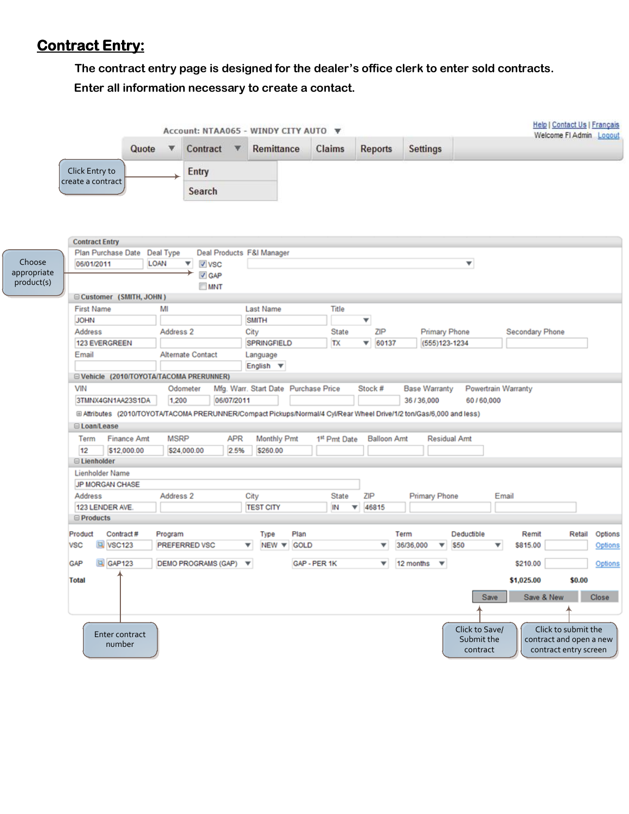## **Contract Entry:**

**The contract entry page is designed for the dealer's office clerk to enter sold contracts.**

**Enter all information necessary to create a contact.**

|                                     |                                                                                                                   |                                                                                                                      |                      |                            |                    | Account: NTAA065 - WINDY CITY AUTO |              |                     |                         |                    |                   |                         |                     |                                          |                          | <b>Help   Contact Us   Français</b><br>Welcome FI Admin                 | Logout             |
|-------------------------------------|-------------------------------------------------------------------------------------------------------------------|----------------------------------------------------------------------------------------------------------------------|----------------------|----------------------------|--------------------|------------------------------------|--------------|---------------------|-------------------------|--------------------|-------------------|-------------------------|---------------------|------------------------------------------|--------------------------|-------------------------------------------------------------------------|--------------------|
|                                     |                                                                                                                   | Quote                                                                                                                |                      | Contract                   |                    | Remittance                         |              | Claims              | <b>Reports</b>          |                    |                   | <b>Settings</b>         |                     |                                          |                          |                                                                         |                    |
|                                     | Click Entry to<br>create a contract                                                                               |                                                                                                                      |                      | Entry                      |                    |                                    |              |                     |                         |                    |                   |                         |                     |                                          |                          |                                                                         |                    |
|                                     |                                                                                                                   |                                                                                                                      |                      | Search                     |                    |                                    |              |                     |                         |                    |                   |                         |                     |                                          |                          |                                                                         |                    |
| Choose<br>appropriate<br>product(s) | <b>Contract Entry</b><br>Plan Purchase Date<br>06/01/2011                                                         | LOAN                                                                                                                 | Deal Type            | ▼<br>V VSC<br>V GAP<br>MNT |                    | Deal Products F&I Manager          |              |                     |                         |                    |                   |                         | ▼                   |                                          |                          |                                                                         |                    |
|                                     | □ Customer (SMITH, JOHN)                                                                                          |                                                                                                                      |                      |                            |                    |                                    |              |                     |                         |                    |                   |                         |                     |                                          |                          |                                                                         |                    |
|                                     | <b>First Name</b><br><b>JOHN</b>                                                                                  |                                                                                                                      | MI                   |                            |                    | <b>Last Name</b><br><b>SMITH</b>   |              | Title               | $\overline{\mathbf{v}}$ |                    |                   |                         |                     |                                          |                          |                                                                         |                    |
|                                     | Address                                                                                                           |                                                                                                                      | Address 2            |                            |                    | City                               |              | <b>State</b>        |                         | ZIP                |                   | <b>Primary Phone</b>    |                     |                                          | Secondary Phone          |                                                                         |                    |
|                                     |                                                                                                                   | 123 EVERGREEN                                                                                                        |                      |                            |                    | SPRINGFIELD                        |              | TX                  | ▼                       | 60137              |                   |                         | (555)123-1234       |                                          |                          |                                                                         |                    |
|                                     | Email                                                                                                             |                                                                                                                      |                      | <b>Alternate Contact</b>   |                    | Language                           |              |                     |                         |                    |                   |                         |                     |                                          |                          |                                                                         |                    |
|                                     |                                                                                                                   | English $\Psi$<br>E Vehicle (2010/TOYOTA/TACOMA PRERUNNER)                                                           |                      |                            |                    |                                    |              |                     |                         |                    |                   |                         |                     |                                          |                          |                                                                         |                    |
|                                     | VIN<br>Mfg. Warr. Start Date Purchase Price<br>Stock #<br><b>Base Warranty</b><br>Powertrain Warranty<br>Odometer |                                                                                                                      |                      |                            |                    |                                    |              |                     |                         |                    |                   |                         |                     |                                          |                          |                                                                         |                    |
|                                     | 3TMNX4GN1AA23S1DA                                                                                                 |                                                                                                                      | 1,200                |                            | 06/07/2011         |                                    |              |                     |                         |                    |                   | 36/36,000               |                     | 60/60,000                                |                          |                                                                         |                    |
|                                     |                                                                                                                   | ⊞ Attributes (2010/TOYOTA/TACOMA PRERUNNER/Compact Pickups/Normal/4 Cyl/Rear Wheel Drive/1/2 ton/Gas/6,000 and less) |                      |                            |                    |                                    |              |                     |                         |                    |                   |                         |                     |                                          |                          |                                                                         |                    |
|                                     | □ Loan/Lease                                                                                                      |                                                                                                                      |                      |                            |                    |                                    |              |                     |                         |                    |                   |                         |                     |                                          |                          |                                                                         |                    |
|                                     | Term<br>12                                                                                                        | <b>Finance Amt</b><br>\$12,000.00                                                                                    | <b>MSRP</b>          | \$24,000.00                | <b>APR</b><br>2.5% | Monthly Pmt<br>\$260.00            |              | 1st Pmt Date        |                         | <b>Balloon Amt</b> |                   |                         | <b>Residual Amt</b> |                                          |                          |                                                                         |                    |
|                                     | <b>□ Lienholder</b>                                                                                               |                                                                                                                      |                      |                            |                    |                                    |              |                     |                         |                    |                   |                         |                     |                                          |                          |                                                                         |                    |
|                                     | Lienholder Name                                                                                                   |                                                                                                                      |                      |                            |                    |                                    |              |                     |                         |                    |                   |                         |                     |                                          |                          |                                                                         |                    |
|                                     | <b>JP MORGAN CHASE</b>                                                                                            |                                                                                                                      |                      |                            |                    | City                               |              | <b>State</b><br>ZIP |                         |                    |                   |                         |                     |                                          |                          |                                                                         |                    |
|                                     | Address                                                                                                           |                                                                                                                      | Address <sub>2</sub> |                            |                    |                                    |              |                     |                         |                    |                   | <b>Primary Phone</b>    |                     |                                          | Email                    |                                                                         |                    |
|                                     | 123 LENDER AVE.                                                                                                   |                                                                                                                      |                      |                            |                    | <b>TEST CITY</b>                   |              | IN<br>▼             | 46815                   |                    |                   |                         |                     |                                          |                          |                                                                         |                    |
|                                     | <b>□ Products</b>                                                                                                 |                                                                                                                      |                      |                            |                    |                                    |              |                     |                         |                    |                   |                         |                     |                                          |                          |                                                                         |                    |
|                                     | Contract #<br>Product<br>VSC123<br><b>VSC</b>                                                                     |                                                                                                                      | Program              | PREFERRED VSC              |                    | Type<br>v.<br>NEW <b>v</b> GOLD    | Plan         |                     |                         | ▼                  | Term<br>36/36,000 | ▼                       | Deductible<br>\$50  | ▼                                        | Remit<br>\$815.00        | Retail                                                                  | Options<br>Options |
|                                     | GAP123<br><b>GAP</b>                                                                                              |                                                                                                                      |                      | <b>DEMO PROGRAMS (GAP)</b> |                    | $\overline{\mathbf{v}}$            | GAP - PER 1K |                     |                         | ▼                  | 12 months         | $\overline{\mathbf{v}}$ |                     |                                          | \$210.00                 |                                                                         | Options            |
|                                     | <b>Total</b>                                                                                                      |                                                                                                                      |                      |                            |                    |                                    |              |                     |                         |                    |                   |                         |                     | Save                                     | \$1,025.00<br>Save & New | \$0.00                                                                  | Close              |
|                                     |                                                                                                                   |                                                                                                                      |                      |                            |                    |                                    |              |                     |                         |                    |                   |                         |                     |                                          |                          |                                                                         |                    |
|                                     | Enter contract<br>number                                                                                          |                                                                                                                      |                      |                            |                    |                                    |              |                     |                         |                    |                   |                         |                     | Click to Save/<br>Submit the<br>contract |                          | Click to submit the<br>contract and open a new<br>contract entry screen |                    |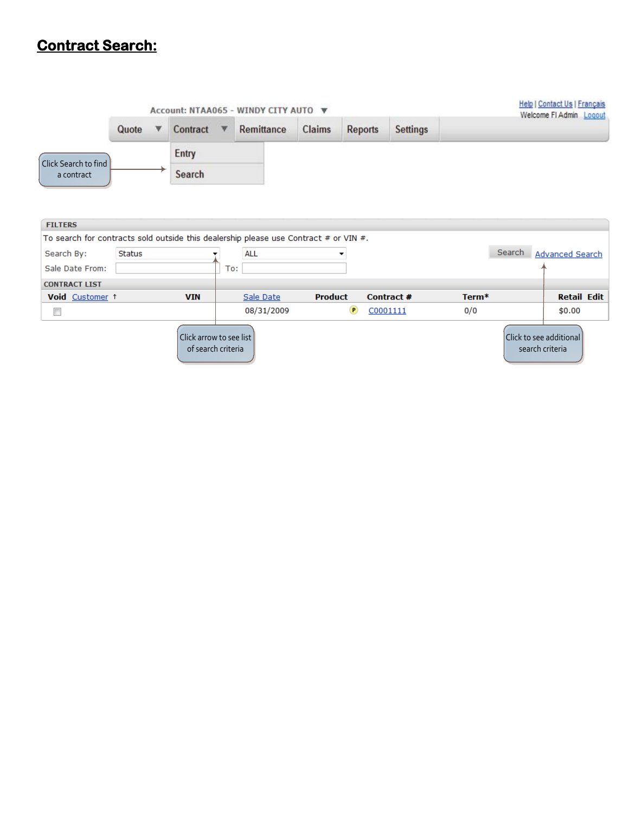### **Contract Search:**

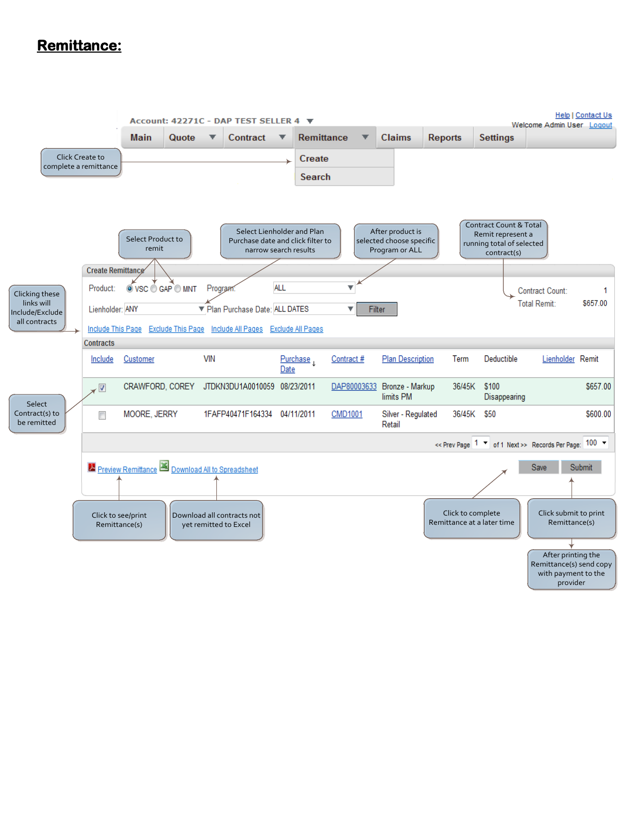### **Remittance:**

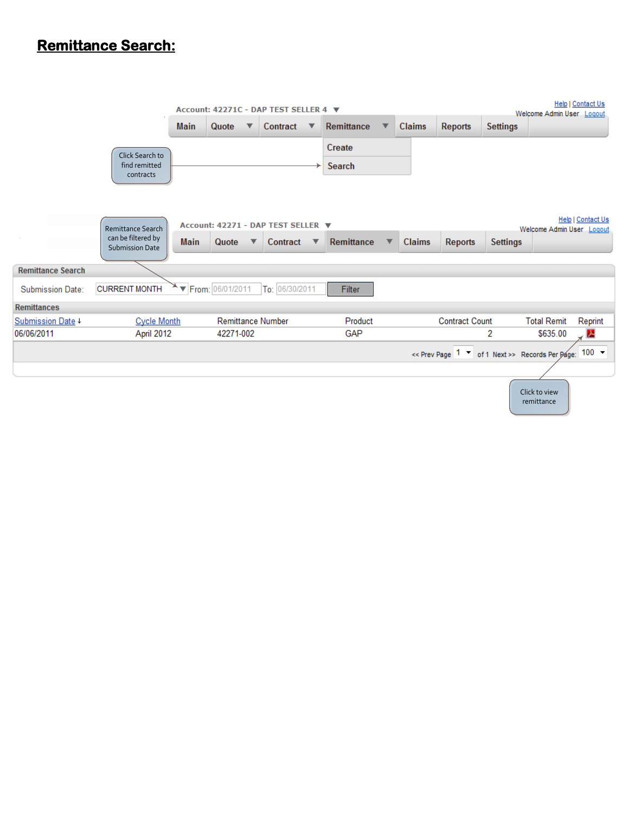## **Remittance Search:**

|                          |                                               |             | Account: 42271C - DAP TEST SELLER 4 |   |                |   |                   |   |               |                                                         |                 | Welcome Admin User Logout   | Help   Contact Us        |
|--------------------------|-----------------------------------------------|-------------|-------------------------------------|---|----------------|---|-------------------|---|---------------|---------------------------------------------------------|-----------------|-----------------------------|--------------------------|
|                          |                                               | <b>Main</b> | Quote<br>▼                          |   | Contract       | ▼ | Remittance        | ▼ | <b>Claims</b> | <b>Reports</b>                                          | <b>Settings</b> |                             |                          |
|                          |                                               |             |                                     |   |                |   | Create            |   |               |                                                         |                 |                             |                          |
|                          | Click Search to<br>find remitted<br>contracts |             |                                     |   |                |   | Search            |   |               |                                                         |                 |                             |                          |
|                          | <b>Remittance Search</b>                      |             | Account: 42271 - DAP TEST SELLER ▼  |   |                |   |                   |   |               |                                                         |                 | Welcome Admin User Logout   | <b>Help   Contact Us</b> |
|                          | can be filtered by<br><b>Submission Date</b>  | <b>Main</b> | Quote                               | ▼ | Contract       | ▼ | <b>Remittance</b> |   | <b>Claims</b> | Reports                                                 | <b>Settings</b> |                             |                          |
| <b>Remittance Search</b> |                                               |             |                                     |   |                |   |                   |   |               |                                                         |                 |                             |                          |
| <b>Submission Date:</b>  | <b>CURRENT MONTH</b>                          |             | ▼ From: 06/01/2011                  |   | To: 06/30/2011 |   | Filter            |   |               |                                                         |                 |                             |                          |
| <b>Remittances</b>       |                                               |             |                                     |   |                |   |                   |   |               |                                                         |                 |                             |                          |
| Submission Date +        | <b>Cycle Month</b>                            |             | <b>Remittance Number</b>            |   |                |   | Product           |   |               | <b>Contract Count</b>                                   |                 | <b>Total Remit</b>          | Reprint                  |
| 06/06/2011               | April 2012                                    |             | 42271-002                           |   |                |   | GAP               |   |               |                                                         | 2               | \$635.00                    | A                        |
|                          |                                               |             |                                     |   |                |   |                   |   |               | << Prev Page 1 \v of 1 Next >> Records Per Page: 100 \v |                 |                             |                          |
|                          |                                               |             |                                     |   |                |   |                   |   |               |                                                         |                 |                             |                          |
|                          |                                               |             |                                     |   |                |   |                   |   |               |                                                         |                 | Click to view<br>remittance |                          |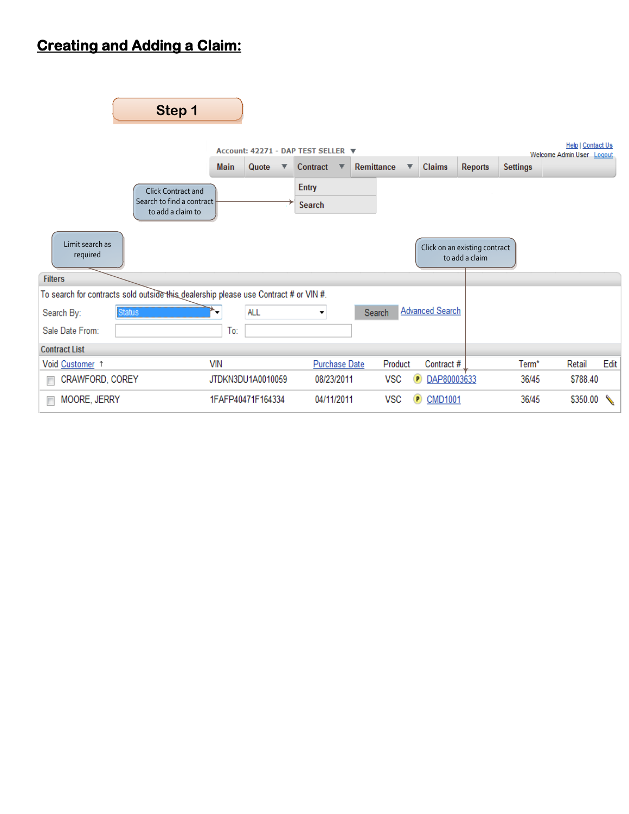# **Creating and Adding a Claim:**

| Step 1                                                                               |                      |                                                     |                 |                                              |                                                 |                                                |
|--------------------------------------------------------------------------------------|----------------------|-----------------------------------------------------|-----------------|----------------------------------------------|-------------------------------------------------|------------------------------------------------|
|                                                                                      | <b>Main</b><br>Quote | Account: 42271 - DAP TEST SELLER ▼<br>Contract<br>▼ | Remittance<br>▼ | <b>Claims</b>                                | <b>Settings</b><br><b>Reports</b>               | Help   Contact Us<br>Welcome Admin User Logout |
| <b>Click Contract and</b><br>Search to find a contract<br>to add a claim to          |                      | <b>Entry</b><br><b>Search</b>                       |                 |                                              |                                                 |                                                |
| Limit search as<br>required                                                          |                      |                                                     |                 |                                              | Click on an existing contract<br>to add a claim |                                                |
| <b>Filters</b>                                                                       |                      |                                                     |                 |                                              |                                                 |                                                |
| To search for contracts sold outside this dealership please use Contract # or VIN #. |                      |                                                     |                 |                                              |                                                 |                                                |
| Search By:<br><b>Status</b>                                                          | <b>ALL</b>           | ▼                                                   | Search          | <b>Advanced Search</b>                       |                                                 |                                                |
| Sale Date From:                                                                      | To:                  |                                                     |                 |                                              |                                                 |                                                |
| <b>Contract List</b>                                                                 |                      |                                                     |                 |                                              |                                                 |                                                |
| Void Customer 1                                                                      | <b>VIN</b>           | <b>Purchase Date</b>                                | Product         | Contract #                                   | Term*                                           | Edit<br>Retail                                 |
| CRAWFORD, COREY<br>П                                                                 | JTDKN3DU1A0010059    | 08/23/2011                                          | <b>VSC</b>      | DAP80003633<br>P                             | 36/45                                           | \$788.40                                       |
| MOORE, JERRY<br>г                                                                    | 1FAFP40471F164334    | 04/11/2011                                          | <b>VSC</b>      | <b>CMD1001</b><br>$\left( \mathbf{P}\right)$ | 36/45                                           | \$350.00                                       |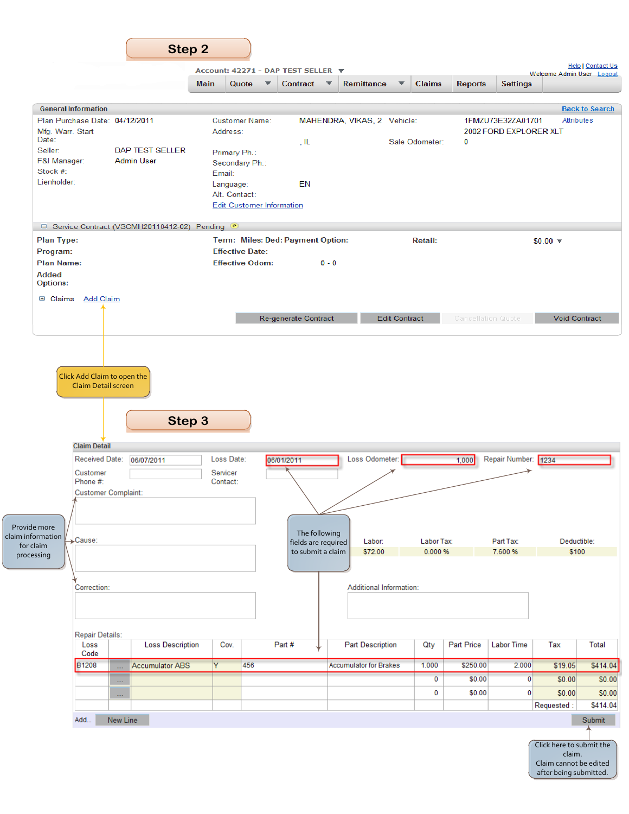|                                                              |                                          |                         |                                    |                                  | Account: 42271 - DAP TEST SELLER ▼       |                             |                                |                         |                       |                |                           | Welcome Admin User Logout          | <b>Help   Contact Us</b> |
|--------------------------------------------------------------|------------------------------------------|-------------------------|------------------------------------|----------------------------------|------------------------------------------|-----------------------------|--------------------------------|-------------------------|-----------------------|----------------|---------------------------|------------------------------------|--------------------------|
|                                                              |                                          | <b>Main</b>             |                                    | Quote<br>$\overline{\mathbf{v}}$ | Contract $\overline{\mathbf{v}}$         |                             | <b>Remittance</b>              | $\overline{\mathbf{v}}$ | <b>Claims</b>         | <b>Reports</b> | <b>Settings</b>           |                                    |                          |
| <b>General Information</b>                                   |                                          |                         |                                    |                                  |                                          |                             |                                |                         |                       |                |                           |                                    | <b>Back to Search</b>    |
| Plan Purchase Date: 04/12/2011                               |                                          |                         |                                    | <b>Customer Name:</b>            |                                          | MAHENDRA, VIKAS, 2 Vehicle: |                                |                         |                       |                | 1FMZU73E32ZA01701         |                                    | Attributes               |
| Mfg. Warr. Start<br>Date:                                    |                                          |                         | Address:                           |                                  |                                          |                             |                                |                         |                       |                | 2002 FORD EXPLORER XLT    |                                    |                          |
| Seller:                                                      | DAP TEST SELLER                          |                         |                                    |                                  | , IL                                     |                             |                                |                         | Sale Odometer:        | 0              |                           |                                    |                          |
| F&I Manager:                                                 | <b>Admin User</b>                        |                         | Primary Ph.:                       | Secondary Ph.:                   |                                          |                             |                                |                         |                       |                |                           |                                    |                          |
| Stock #:                                                     |                                          |                         | Email:                             |                                  |                                          |                             |                                |                         |                       |                |                           |                                    |                          |
| Lienholder:                                                  |                                          |                         | Language:                          |                                  | EN                                       |                             |                                |                         |                       |                |                           |                                    |                          |
|                                                              |                                          |                         | Alt. Contact:                      |                                  |                                          |                             |                                |                         |                       |                |                           |                                    |                          |
|                                                              |                                          |                         |                                    | <b>Edit Customer Information</b> |                                          |                             |                                |                         |                       |                |                           |                                    |                          |
| □ Service Contract (VSCMH20110412-02) Pending <sup>●</sup>   |                                          |                         |                                    |                                  |                                          |                             |                                |                         |                       |                |                           |                                    |                          |
| Plan Type:                                                   |                                          |                         |                                    |                                  | Term: Miles: Ded: Payment Option:        |                             |                                |                         | <b>Retail:</b>        |                |                           | $$0.00$ $\sqrt{ }$                 |                          |
| Program:                                                     |                                          |                         |                                    | <b>Effective Date:</b>           |                                          |                             |                                |                         |                       |                |                           |                                    |                          |
| Plan Name:                                                   |                                          |                         |                                    | <b>Effective Odom:</b>           |                                          | $0 - 0$                     |                                |                         |                       |                |                           |                                    |                          |
| <b>Added</b><br><b>Options:</b>                              |                                          |                         |                                    |                                  |                                          |                             |                                |                         |                       |                |                           |                                    |                          |
| <b>El Claims</b> Add Claim                                   |                                          |                         |                                    |                                  |                                          |                             |                                |                         |                       |                |                           |                                    |                          |
|                                                              |                                          |                         |                                    |                                  |                                          |                             |                                |                         |                       |                |                           |                                    |                          |
|                                                              |                                          |                         |                                    |                                  | Re-generate Contract                     |                             |                                | <b>Edit Contract</b>    |                       |                | <b>Cancellation Quote</b> | <b>Void Contract</b>               |                          |
| <b>Claim Detail</b>                                          | Claim Detail screen                      | Step 3                  |                                    |                                  |                                          |                             |                                |                         |                       |                |                           |                                    |                          |
| <b>Received Date:</b><br>Customer<br>Phone #:                | 06/07/2011<br><b>Customer Complaint:</b> |                         | Loss Date:<br>Servicer<br>Contact: |                                  | 06/01/2011                               |                             | Loss Odometer:                 |                         |                       | 1,000          | Repair Number: 1234       |                                    |                          |
|                                                              |                                          |                         |                                    |                                  |                                          |                             |                                |                         |                       |                |                           |                                    |                          |
|                                                              |                                          |                         |                                    |                                  |                                          |                             |                                |                         |                       |                |                           |                                    |                          |
|                                                              |                                          |                         |                                    |                                  | The following                            |                             |                                |                         |                       |                |                           |                                    |                          |
| $\rightarrow$ Cause:                                         |                                          |                         |                                    |                                  | fields are required<br>to submit a claim |                             | Labor:<br>\$72.00              |                         | Labor Tax:<br>0.000 % |                | Part Tax:<br>7.600 %      | Deductible:<br>\$100               |                          |
|                                                              |                                          |                         |                                    |                                  |                                          |                             |                                |                         |                       |                |                           |                                    |                          |
|                                                              |                                          |                         |                                    |                                  |                                          |                             |                                |                         |                       |                |                           |                                    |                          |
| Correction:                                                  |                                          |                         |                                    |                                  |                                          |                             | <b>Additional Information:</b> |                         |                       |                |                           |                                    |                          |
|                                                              |                                          |                         |                                    |                                  |                                          |                             |                                |                         |                       |                |                           |                                    |                          |
|                                                              |                                          |                         |                                    |                                  |                                          |                             |                                |                         |                       |                |                           |                                    |                          |
| Repair Details:                                              |                                          |                         |                                    |                                  |                                          |                             |                                |                         |                       |                |                           |                                    |                          |
| Loss<br>Code                                                 |                                          | <b>Loss Description</b> | Cov.                               |                                  | Part #                                   |                             | <b>Part Description</b>        |                         | Qty                   | Part Price     | <b>Labor Time</b>         | Tax                                |                          |
| <b>B1208</b>                                                 | Accumulator ABS<br>Щ,                    |                         | Y                                  | 456                              |                                          |                             | <b>Accumulator for Brakes</b>  |                         | 1.000                 | \$250.00       | 2.000                     | \$19.05                            | <b>Total</b><br>\$414.04 |
|                                                              | $\ldots$                                 |                         |                                    |                                  |                                          |                             |                                |                         | $\overline{0}$        | \$0.00         | $\mathbf 0$               | \$0.00                             |                          |
|                                                              | $\ldots$                                 |                         |                                    |                                  |                                          |                             |                                |                         | 0                     | \$0.00         | 0                         | \$0.00                             |                          |
|                                                              |                                          |                         |                                    |                                  |                                          |                             |                                |                         |                       |                |                           | Requested:                         |                          |
| Add                                                          | New Line                                 |                         |                                    |                                  |                                          |                             |                                |                         |                       |                |                           |                                    |                          |
|                                                              |                                          |                         |                                    |                                  |                                          |                             |                                |                         |                       |                |                           |                                    |                          |
| Provide more<br>claim information<br>for claim<br>processing |                                          |                         |                                    |                                  |                                          |                             |                                |                         |                       |                |                           | Click here to submit the<br>claim. | \$414.04<br>Submit       |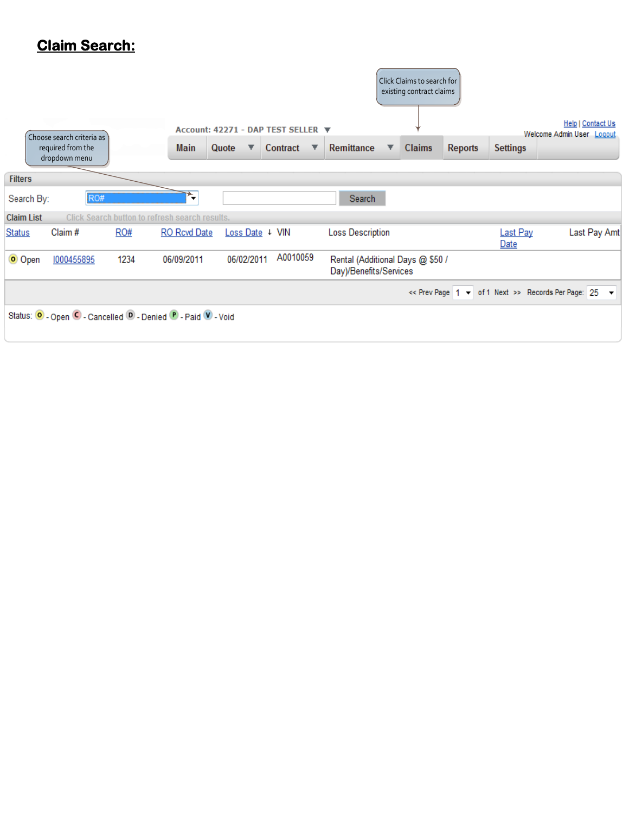## **Claim Search:**

|                   |                                                                 |                                                |                     |                 | Account: 42271 - DAP TEST SELLER ▼ |                                                            | Click Claims to search for<br>existing contract claims |                |                  | Help   Contact Us<br>Welcome Admin User Logout       |
|-------------------|-----------------------------------------------------------------|------------------------------------------------|---------------------|-----------------|------------------------------------|------------------------------------------------------------|--------------------------------------------------------|----------------|------------------|------------------------------------------------------|
|                   | Choose search criteria as<br>required from the<br>dropdown menu |                                                | <b>Main</b>         | Quote<br>▼      | Contract<br>▼                      | Remittance                                                 | <b>Claims</b><br>▼                                     | <b>Reports</b> | <b>Settings</b>  |                                                      |
| <b>Filters</b>    |                                                                 |                                                |                     |                 |                                    |                                                            |                                                        |                |                  |                                                      |
| Search By:        | RO#                                                             |                                                | *,                  |                 |                                    | Search                                                     |                                                        |                |                  |                                                      |
| <b>Claim List</b> |                                                                 | Click Search button to refresh search results. |                     |                 |                                    |                                                            |                                                        |                |                  |                                                      |
| <b>Status</b>     | Claim#                                                          | RO#                                            | <b>RO</b> Rcvd Date | Loss Date   VIN |                                    | <b>Loss Description</b>                                    |                                                        |                | Last Pay<br>Date | Last Pay Amt                                         |
| O Open            | 1000455895                                                      | 1234                                           | 06/09/2011          | 06/02/2011      | A0010059                           | Rental (Additional Days @ \$50 /<br>Day)/Benefits/Services |                                                        |                |                  |                                                      |
|                   |                                                                 |                                                |                     |                 |                                    |                                                            |                                                        |                |                  | << Prev Page 1 - of 1 Next >> Records Per Page: 25 - |
|                   | Status: O - Open C - Cancelled O - Denied P - Paid V - Void     |                                                |                     |                 |                                    |                                                            |                                                        |                |                  |                                                      |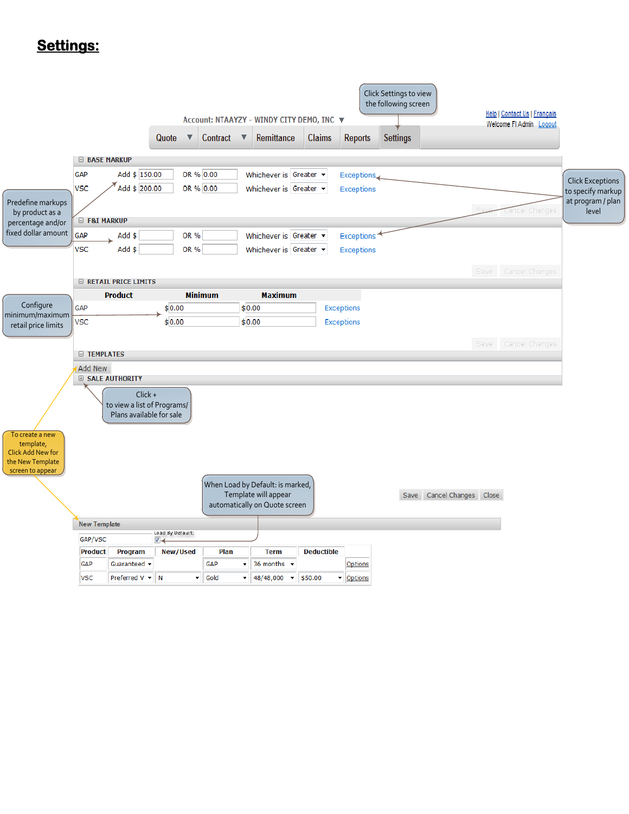### **Settings:**